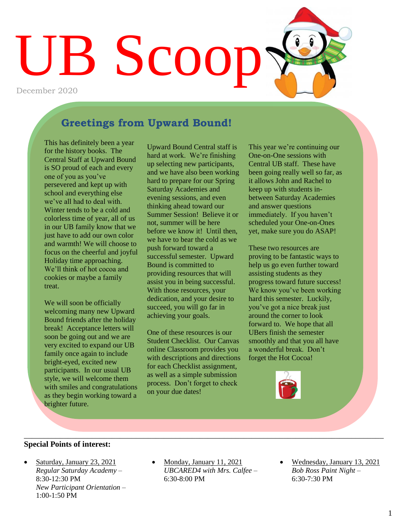# UB Scoop December 2020

#### **Greetings from Upward Bound!**

This has definitely been a year for the history books. The Central Staff at Upward Bound is SO proud of each and every one of you as you've persevered and kept up with school and everything else we've all had to deal with. Winter tends to be a cold and colorless time of year, all of us in our UB family know that we just have to add our own color and warmth! We will choose to focus on the cheerful and joyful Holiday time approaching. We'll think of hot cocoa and cookies or maybe a family treat.

We will soon be officially welcoming many new Upward Bound friends after the holiday break! Acceptance letters will soon be going out and we are very excited to expand our UB family once again to include bright-eyed, excited new participants. In our usual UB style, we will welcome them with smiles and congratulations as they begin working toward a brighter future.

Upward Bound Central staff is hard at work. We're finishing up selecting new participants, and we have also been working hard to prepare for our Spring Saturday Academies and evening sessions, and even thinking ahead toward our Summer Session! Believe it or not, summer will be here before we know it! Until then we have to bear the cold as we push forward toward a successful semester. Upward Bound is committed to providing resources that will assist you in being successful. With those resources, your dedication, and your desire to succeed, you will go far in achieving your goals.

One of these resources is our Student Checklist. Our Canvas online Classroom provides you with descriptions and directions for each Checklist assignment, as well as a simple submission process. Don't forget to check on your due dates!

This year we're continuing our One-on-One sessions with Central UB staff. These have been going really well so far, as it allows John and Rachel to keep up with students inbetween Saturday Academies and answer questions immediately. If you haven't scheduled your One-on-Ones yet, make sure you do ASAP!

These two resources are proving to be fantastic ways to help us go even further toward assisting students as they progress toward future success! We know you've been working hard this semester. Luckily, you've got a nice break just around the corner to look forward to. We hope that all UBers finish the semester smoothly and that you all have a wonderful break. Don't forget the Hot Cocoa!



#### **Special Points of interest:**

- Saturday, January 23, 2021 *Regular Saturday Academy –* 8:30-12:30 PM *New Participant Orientation –* 1:00-1:50 PM
- Monday, January 11, 2021 *UBCARED4 with Mrs. Calfee –* 6:30-8:00 PM

 $\_$  , and the contribution of the contribution of the contribution of the contribution of the contribution of  $\mathcal{L}_\text{max}$ 

 Wednesday, January 13, 2021 *Bob Ross Paint Night –* 6:30-7:30 PM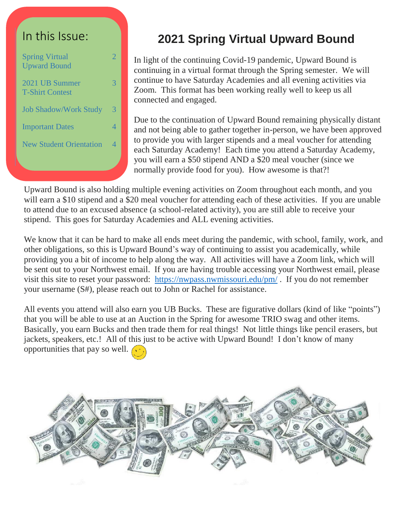#### In this Issue:

| <b>Spring Virtual</b><br><b>Upward Bound</b> | 2 |
|----------------------------------------------|---|
| 2021 UB Summer<br><b>T-Shirt Contest</b>     |   |
| <b>Job Shadow/Work Study</b>                 | 3 |
| <b>Important Dates</b>                       | 4 |
| <b>New Student Orientation</b>               | 4 |
|                                              |   |

#### **2021 Spring Virtual Upward Bound**

In light of the continuing Covid-19 pandemic, Upward Bound is continuing in a virtual format through the Spring semester. We will continue to have Saturday Academies and all evening activities via Zoom. This format has been working really well to keep us all connected and engaged.

Due to the continuation of Upward Bound remaining physically distant and not being able to gather together in-person, we have been approved to provide you with larger stipends and a meal voucher for attending each Saturday Academy! Each time you attend a Saturday Academy, you will earn a \$50 stipend AND a \$20 meal voucher (since we normally provide food for you). How awesome is that?!

Upward Bound is also holding multiple evening activities on Zoom throughout each month, and you will earn a \$10 stipend and a \$20 meal voucher for attending each of these activities. If you are unable to attend due to an excused absence (a school-related activity), you are still able to receive your stipend. This goes for Saturday Academies and ALL evening activities.

We know that it can be hard to make all ends meet during the pandemic, with school, family, work, and other obligations, so this is Upward Bound's way of continuing to assist you academically, while providing you a bit of income to help along the way. All activities will have a Zoom link, which will be sent out to your Northwest email. If you are having trouble accessing your Northwest email, please visit this site to reset your password: <https://nwpass.nwmissouri.edu/pm/> . If you do not remember your username (S#), please reach out to John or Rachel for assistance.

All events you attend will also earn you UB Bucks. These are figurative dollars (kind of like "points") that you will be able to use at an Auction in the Spring for awesome TRIO swag and other items. Basically, you earn Bucks and then trade them for real things! Not little things like pencil erasers, but jackets, speakers, etc.! All of this just to be active with Upward Bound! I don't know of many opportunities that pay so well.  $\sim$ 

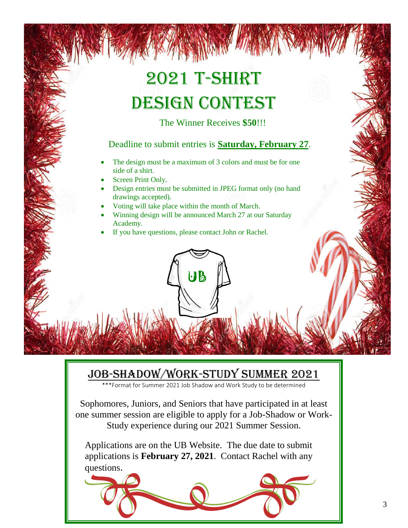## 2021 T-Shirt DESIGN CONTEST

The Winner Receives **\$50**!!!

#### Deadline to submit entries is **Saturday, February 27**.

- The design must be a maximum of 3 colors and must be for one side of a shirt.
- Screen Print Only.
- Design entries must be submitted in JPEG format only (no hand drawings accepted).
- Voting will take place within the month of March.
- Winning design will be announced March 27 at our Saturday Academy.

UB

If you have questions, please contact John or Rachel.

#### Job-Shadow/Work-Study Summer 2021

\*\*\*Format for Summer 2021 Job Shadow and Work Study to be determined

Sophomores, Juniors, and Seniors that have participated in at least one summer session are eligible to apply for a Job-Shadow or Work-Study experience during our 2021 Summer Session.

Applications are on the UB Website. The due date to submit applications is **February 27, 2021**. Contact Rachel with any questions.